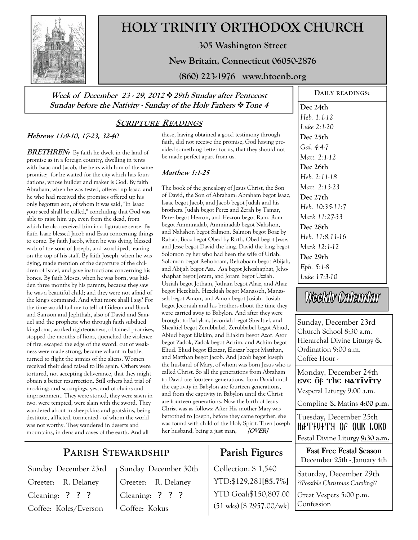

# **HOLY TRINITY ORTHODOX CHURCH**

**305 Washington Street** 

**New Britain, Connecticut 06050-2876** 

**(860) 223-1976 www.htocnb.org** 

**Week of December 23 - 29, 2012 29th Sunday after Pentecost Sunday before the Nativity - Sunday of the Holy Fathers Tone 4** 

#### **SCRIPTURE READINGS**

#### **Hebrews 11:9-10, 17-23, 32-40**

**BRETHREN:** By faith he dwelt in the land of promise as in a foreign country, dwelling in tents with Isaac and Jacob, the heirs with him of the same promise; for he waited for the city which has foundations, whose builder and maker is God. By faith Abraham, when he was tested, offered up Isaac, and he who had received the promises offered up his only begotten son, of whom it was said, "In Isaac your seed shall be called," concluding that God was able to raise him up, even from the dead, from which he also received him in a figurative sense. By faith Isaac blessed Jacob and Esau concerning things to come. By faith Jacob, when he was dying, blessed each of the sons of Joseph, and worshiped, leaning on the top of his staff. By faith Joseph, when he was dying, made mention of the departure of the children of Israel, and gave instructions concerning his bones. By faith Moses, when he was born, was hidden three months by his parents, because they saw he was a beautiful child; and they were not afraid of the king's command. And what more shall I say? For the time would fail me to tell of Gideon and Barak and Samson and Jephthah, also of David and Samuel and the prophets: who through faith subdued kingdoms, worked righteousness, obtained promises, stopped the mouths of lions, quenched the violence of fire, escaped the edge of the sword, out of weakness were made strong, became valiant in battle, turned to flight the armies of the aliens. Women received their dead raised to life again. Others were tortured, not accepting deliverance, that they might obtain a better resurrection. Still others had trial of mockings and scourgings, yes, and of chains and imprisonment. They were stoned, they were sawn in two, were tempted, were slain with the sword. They wandered about in sheepskins and goatskins, being destitute, afflicted, tormented - of whom the world was not worthy. They wandered in deserts and mountains, in dens and caves of the earth. And all

these, having obtained a good testimony through faith, did not receive the promise, God having provided something better for us, that they should not be made perfect apart from us.

#### **Matthew 1:1-25**

The book of the genealogy of Jesus Christ, the Son of David, the Son of Abraham: Abraham begot Isaac, Isaac begot Jacob, and Jacob begot Judah and his brothers. Judah begot Perez and Zerah by Tamar, Perez begot Hezron, and Hezron begot Ram. Ram begot Amminadab, Amminadab begot Nahshon, and Nahshon begot Salmon. Salmon begot Boaz by Rahab, Boaz begot Obed by Ruth, Obed begot Jesse, and Jesse begot David the king. David the king begot Solomon by her who had been the wife of Uriah. Solomon begot Rehoboam, Rehoboam begot Abijah, and Abijah begot Asa. Asa begot Jehoshaphat, Jehoshaphat begot Joram, and Joram begot Uzziah. Uzziah begot Jotham, Jotham begot Ahaz, and Ahaz begot Hezekiah. Hezekiah begot Manasseh, Manasseh begot Amon, and Amon begot Josiah. Josiah begot Jeconiah and his brothers about the time they were carried away to Babylon. And after they were brought to Babylon, Jeconiah begot Shealtiel, and Shealtiel begot Zerubbabel. Zerubbabel begot Abiud, Abiud begot Eliakim, and Eliakim begot Azor. Azor begot Zadok, Zadok begot Achim, and Achim begot Eliud. Eliud begot Eleazar, Eleazar begot Matthan, and Matthan begot Jacob. And Jacob begot Joseph the husband of Mary, of whom was born Jesus who is called Christ. So all the generations from Abraham to David are fourteen generations, from David until the captivity in Babylon are fourteen generations, and from the captivity in Babylon until the Christ are fourteen generations. Now the birth of Jesus Christ was as follows: After His mother Mary was betrothed to Joseph, before they came together, she was found with child of the Holy Spirit. Then Joseph her husband, being a just man, **[OVER]**

## **Parish Figures**

Collection: \$ 1,540 YTD:\$129,281**[85.7%]** YTD Goal:\$150,807.00 (51 wks) [\$ 2957.00/wk]

**DAILY READINGS: Dec 24th**  *Heb. 1:1-12 Luke 2:1-20*  **Dec 25th**  *Gal. 4:4-7 Matt. 2:1-12*  **Dec 26th**  *Heb. 2:11-18 Matt. 2:13-23*  **Dec 27th**  *Heb. 10:35-11:7 Mark 11:27-33*  **Dec 28th**  *Heb. 11:8,11-16 Mark 12:1-12*  **Dec 29th**  *Eph. 5:1-8 Luke 17:3-10* 

Weekly Calendar

Sunday, December 23rd Church School 8:30 a.m. Hierarchal Divine Liturgy & Ordination 9:00 a.m. Coffee Hour -

Monday, December 24th EVE OF The NATIVITY Vesperal Liturgy 9:00 a.m.

Compline & Matins **4:00 p.m.**

Tuesday, December 25th NATIVITY OF OUR LORD Festal Divine Liturgy **9:30 a.m.**

Fast Free Festal Season December 25th - January 4th

Saturday, December 29th *??Possible Christmas Caroling??* 

Great Vespers 5:00 p.m. Confession

## **PARISH STEWARDSHIP**

Sunday December 23rd Greeter: R. Delaney Cleaning: ? ? ? Coffee: Koles/Everson

Sunday December 30th Greeter: R. Delaney Cleaning: ? ? ? Coffee: Kokus